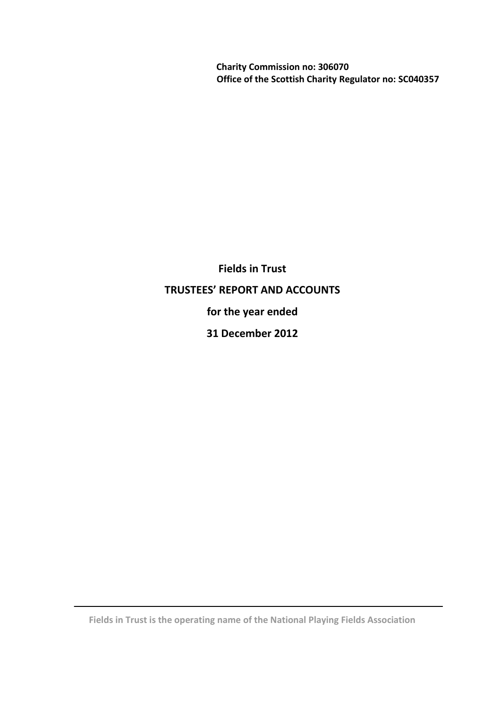**Charity Commission no: 306070 Office of the Scottish Charity Regulator no: SC040357**

**Fields in Trust TRUSTEES' REPORT AND ACCOUNTS for the year ended 31 December 2012**

**Fields in Trust is the operating name of the National Playing Fields Association**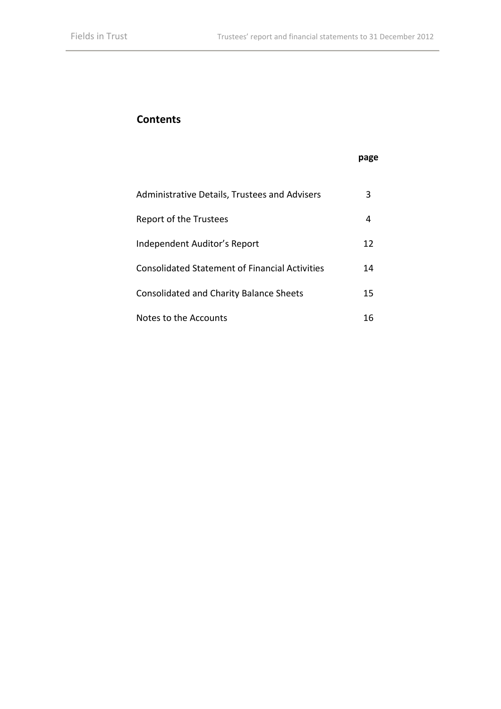# **Contents**

# **page**

| Administrative Details, Trustees and Advisers  | 3  |
|------------------------------------------------|----|
| Report of the Trustees                         | 4  |
| Independent Auditor's Report                   | 12 |
| Consolidated Statement of Financial Activities | 14 |
| <b>Consolidated and Charity Balance Sheets</b> | 15 |
| Notes to the Accounts                          |    |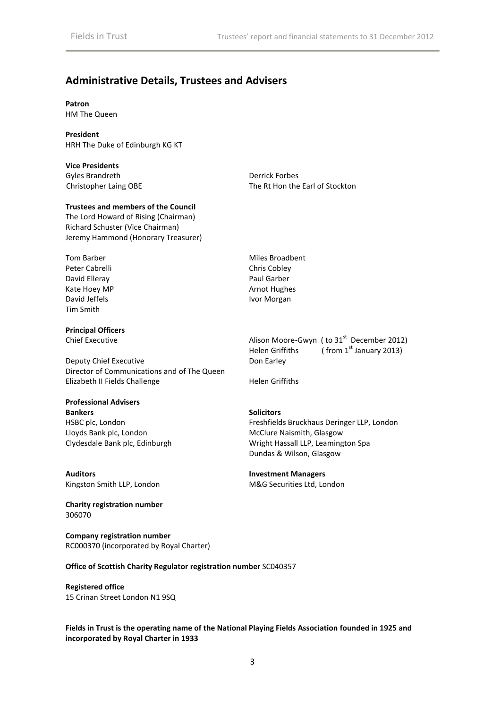# **Administrative Details, Trustees and Advisers**

# **Patron**

HM The Queen

### **President**

HRH The Duke of Edinburgh KG KT

**Vice Presidents** Gyles Brandreth Derrick Forbes

Christopher Laing OBE The Rt Hon the Earl of Stockton

### **Trustees and members of the Council**

The Lord Howard of Rising (Chairman) Richard Schuster (Vice Chairman) Jeremy Hammond (Honorary Treasurer)

Tom Barber Miles Broadbent Peter Cabrelli Chris Cobley David Elleray **Paul Garber** Paul Garber Kate Hoey MP **Arnot Hughes** Arnot Hughes David Jeffels **IVor Morgan** Tim Smith

**Principal Officers**

Deputy Chief Executive Don Earley Director of Communications and of The Queen Elizabeth II Fields Challenge Helen Griffiths

# **Professional Advisers**

**Bankers Solicitors** HSBC plc, London Lloyds Bank plc, London Clydesdale Bank plc, Edinburgh

**Auditors Investment Managers** Kingston Smith LLP, London M&G Securities Ltd, London

**Charity registration number** 306070

**Company registration number** RC000370 (incorporated by Royal Charter)

### **Office of Scottish Charity Regulator registration number** SC040357

**Registered office** 15 Crinan Street London N1 9SQ

**Fields in Trust is the operating name of the National Playing Fields Association founded in 1925 and incorporated by Royal Charter in 1933**

Chief Executive Chief Executive Alison Moore-Gwyn ( to 31<sup>st</sup> December 2012) Helen Griffiths  $($  from 1<sup>st</sup> January 2013)

Freshfields Bruckhaus Deringer LLP, London McClure Naismith, Glasgow Wright Hassall LLP, Leamington Spa Dundas & Wilson, Glasgow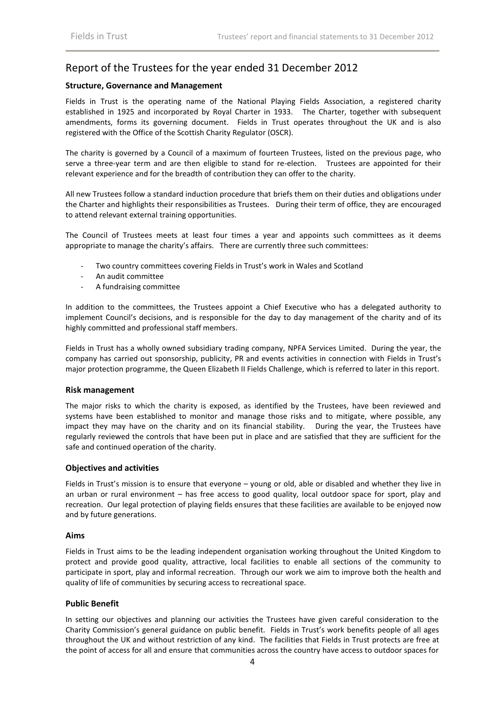# Report of the Trustees for the year ended 31 December 2012

### **Structure, Governance and Management**

Fields in Trust is the operating name of the National Playing Fields Association, a registered charity established in 1925 and incorporated by Royal Charter in 1933. The Charter, together with subsequent amendments, forms its governing document. Fields in Trust operates throughout the UK and is also registered with the Office of the Scottish Charity Regulator (OSCR).

The charity is governed by a Council of a maximum of fourteen Trustees, listed on the previous page, who serve a three-year term and are then eligible to stand for re-election. Trustees are appointed for their relevant experience and for the breadth of contribution they can offer to the charity.

All new Trustees follow a standard induction procedure that briefs them on their duties and obligations under the Charter and highlights their responsibilities as Trustees. During their term of office, they are encouraged to attend relevant external training opportunities.

The Council of Trustees meets at least four times a year and appoints such committees as it deems appropriate to manage the charity's affairs. There are currently three such committees:

- Two country committees covering Fields in Trust's work in Wales and Scotland
- An audit committee
- A fundraising committee

In addition to the committees, the Trustees appoint a Chief Executive who has a delegated authority to implement Council's decisions, and is responsible for the day to day management of the charity and of its highly committed and professional staff members.

Fields in Trust has a wholly owned subsidiary trading company, NPFA Services Limited. During the year, the company has carried out sponsorship, publicity, PR and events activities in connection with Fields in Trust's major protection programme, the Queen Elizabeth II Fields Challenge, which is referred to later in this report.

### **Risk management**

The major risks to which the charity is exposed, as identified by the Trustees, have been reviewed and systems have been established to monitor and manage those risks and to mitigate, where possible, any impact they may have on the charity and on its financial stability. During the year, the Trustees have regularly reviewed the controls that have been put in place and are satisfied that they are sufficient for the safe and continued operation of the charity.

### **Objectives and activities**

Fields in Trust's mission is to ensure that everyone – young or old, able or disabled and whether they live in an urban or rural environment – has free access to good quality, local outdoor space for sport, play and recreation. Our legal protection of playing fields ensures that these facilities are available to be enjoyed now and by future generations.

### **Aims**

Fields in Trust aims to be the leading independent organisation working throughout the United Kingdom to protect and provide good quality, attractive, local facilities to enable all sections of the community to participate in sport, play and informal recreation. Through our work we aim to improve both the health and quality of life of communities by securing access to recreational space.

### **Public Benefit**

In setting our objectives and planning our activities the Trustees have given careful consideration to the Charity Commission's general guidance on public benefit. Fields in Trust's work benefits people of all ages throughout the UK and without restriction of any kind. The facilities that Fields in Trust protects are free at the point of access for all and ensure that communities across the country have access to outdoor spaces for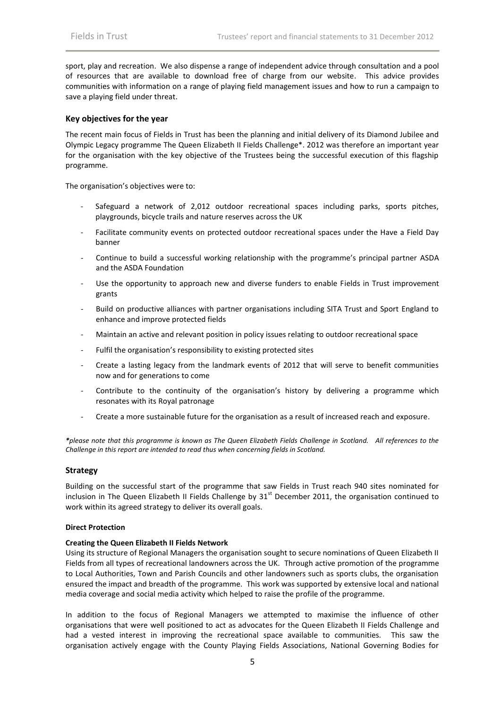sport, play and recreation. We also dispense a range of independent advice through consultation and a pool of resources that are available to download free of charge from our website. This advice provides communities with information on a range of playing field management issues and how to run a campaign to save a playing field under threat.

### **Key objectives for the year**

The recent main focus of Fields in Trust has been the planning and initial delivery of its Diamond Jubilee and Olympic Legacy programme The Queen Elizabeth II Fields Challenge\*. 2012 was therefore an important year for the organisation with the key objective of the Trustees being the successful execution of this flagship programme.

The organisation's objectives were to:

- Safeguard a network of 2,012 outdoor recreational spaces including parks, sports pitches, playgrounds, bicycle trails and nature reserves across the UK
- Facilitate community events on protected outdoor recreational spaces under the Have a Field Day banner
- Continue to build a successful working relationship with the programme's principal partner ASDA and the ASDA Foundation
- Use the opportunity to approach new and diverse funders to enable Fields in Trust improvement grants
- Build on productive alliances with partner organisations including SITA Trust and Sport England to enhance and improve protected fields
- Maintain an active and relevant position in policy issues relating to outdoor recreational space
- Fulfil the organisation's responsibility to existing protected sites
- Create a lasting legacy from the landmark events of 2012 that will serve to benefit communities now and for generations to come
- Contribute to the continuity of the organisation's history by delivering a programme which resonates with its Royal patronage
- Create a more sustainable future for the organisation as a result of increased reach and exposure.

*\*please note that this programme is known as The Queen Elizabeth Fields Challenge in Scotland. All references to the Challenge in this report are intended to read thus when concerning fields in Scotland.* 

### **Strategy**

Building on the successful start of the programme that saw Fields in Trust reach 940 sites nominated for inclusion in The Queen Elizabeth II Fields Challenge by  $31<sup>st</sup>$  December 2011, the organisation continued to work within its agreed strategy to deliver its overall goals.

### **Direct Protection**

### **Creating the Queen Elizabeth II Fields Network**

Using its structure of Regional Managers the organisation sought to secure nominations of Queen Elizabeth II Fields from all types of recreational landowners across the UK. Through active promotion of the programme to Local Authorities, Town and Parish Councils and other landowners such as sports clubs, the organisation ensured the impact and breadth of the programme. This work was supported by extensive local and national media coverage and social media activity which helped to raise the profile of the programme.

In addition to the focus of Regional Managers we attempted to maximise the influence of other organisations that were well positioned to act as advocates for the Queen Elizabeth II Fields Challenge and had a vested interest in improving the recreational space available to communities. This saw the organisation actively engage with the County Playing Fields Associations, National Governing Bodies for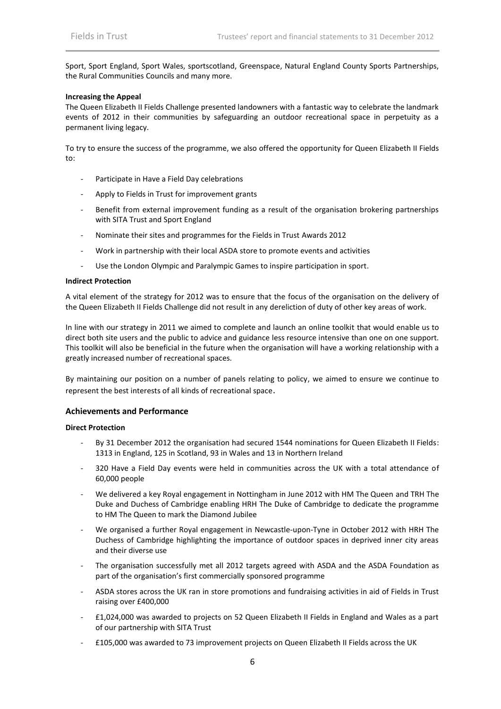Sport, Sport England, Sport Wales, sportscotland, Greenspace, Natural England County Sports Partnerships, the Rural Communities Councils and many more.

### **Increasing the Appeal**

The Queen Elizabeth II Fields Challenge presented landowners with a fantastic way to celebrate the landmark events of 2012 in their communities by safeguarding an outdoor recreational space in perpetuity as a permanent living legacy.

To try to ensure the success of the programme, we also offered the opportunity for Queen Elizabeth II Fields to:

- Participate in Have a Field Day celebrations
- Apply to Fields in Trust for improvement grants
- Benefit from external improvement funding as a result of the organisation brokering partnerships with SITA Trust and Sport England
- Nominate their sites and programmes for the Fields in Trust Awards 2012
- Work in partnership with their local ASDA store to promote events and activities
- Use the London Olympic and Paralympic Games to inspire participation in sport.

### **Indirect Protection**

A vital element of the strategy for 2012 was to ensure that the focus of the organisation on the delivery of the Queen Elizabeth II Fields Challenge did not result in any dereliction of duty of other key areas of work.

In line with our strategy in 2011 we aimed to complete and launch an online toolkit that would enable us to direct both site users and the public to advice and guidance less resource intensive than one on one support. This toolkit will also be beneficial in the future when the organisation will have a working relationship with a greatly increased number of recreational spaces.

By maintaining our position on a number of panels relating to policy, we aimed to ensure we continue to represent the best interests of all kinds of recreational space.

### **Achievements and Performance**

### **Direct Protection**

- By 31 December 2012 the organisation had secured 1544 nominations for Queen Elizabeth II Fields: 1313 in England, 125 in Scotland, 93 in Wales and 13 in Northern Ireland
- 320 Have a Field Day events were held in communities across the UK with a total attendance of 60,000 people
- We delivered a key Royal engagement in Nottingham in June 2012 with HM The Queen and TRH The Duke and Duchess of Cambridge enabling HRH The Duke of Cambridge to dedicate the programme to HM The Queen to mark the Diamond Jubilee
- We organised a further Royal engagement in Newcastle-upon-Tyne in October 2012 with HRH The Duchess of Cambridge highlighting the importance of outdoor spaces in deprived inner city areas and their diverse use
- The organisation successfully met all 2012 targets agreed with ASDA and the ASDA Foundation as part of the organisation's first commercially sponsored programme
- ASDA stores across the UK ran in store promotions and fundraising activities in aid of Fields in Trust raising over £400,000
- £1,024,000 was awarded to projects on 52 Queen Elizabeth II Fields in England and Wales as a part of our partnership with SITA Trust
- £105,000 was awarded to 73 improvement projects on Queen Elizabeth II Fields across the UK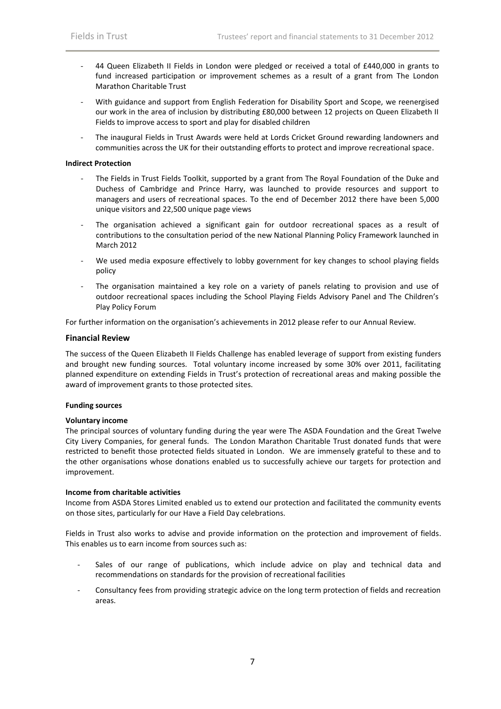- 44 Queen Elizabeth II Fields in London were pledged or received a total of £440,000 in grants to fund increased participation or improvement schemes as a result of a grant from The London Marathon Charitable Trust
- With guidance and support from English Federation for Disability Sport and Scope, we reenergised our work in the area of inclusion by distributing £80,000 between 12 projects on Queen Elizabeth II Fields to improve access to sport and play for disabled children
- The inaugural Fields in Trust Awards were held at Lords Cricket Ground rewarding landowners and communities across the UK for their outstanding efforts to protect and improve recreational space.

### **Indirect Protection**

- The Fields in Trust Fields Toolkit, supported by a grant from The Royal Foundation of the Duke and Duchess of Cambridge and Prince Harry, was launched to provide resources and support to managers and users of recreational spaces. To the end of December 2012 there have been 5,000 unique visitors and 22,500 unique page views
- The organisation achieved a significant gain for outdoor recreational spaces as a result of contributions to the consultation period of the new National Planning Policy Framework launched in March 2012
- We used media exposure effectively to lobby government for key changes to school playing fields policy
- The organisation maintained a key role on a variety of panels relating to provision and use of outdoor recreational spaces including the School Playing Fields Advisory Panel and The Children's Play Policy Forum

For further information on the organisation's achievements in 2012 please refer to our Annual Review.

### **Financial Review**

The success of the Queen Elizabeth II Fields Challenge has enabled leverage of support from existing funders and brought new funding sources. Total voluntary income increased by some 30% over 2011, facilitating planned expenditure on extending Fields in Trust's protection of recreational areas and making possible the award of improvement grants to those protected sites.

### **Funding sources**

### **Voluntary income**

The principal sources of voluntary funding during the year were The ASDA Foundation and the Great Twelve City Livery Companies, for general funds. The London Marathon Charitable Trust donated funds that were restricted to benefit those protected fields situated in London. We are immensely grateful to these and to the other organisations whose donations enabled us to successfully achieve our targets for protection and improvement.

### **Income from charitable activities**

Income from ASDA Stores Limited enabled us to extend our protection and facilitated the community events on those sites, particularly for our Have a Field Day celebrations.

Fields in Trust also works to advise and provide information on the protection and improvement of fields. This enables us to earn income from sources such as:

- Sales of our range of publications, which include advice on play and technical data and recommendations on standards for the provision of recreational facilities
- Consultancy fees from providing strategic advice on the long term protection of fields and recreation areas.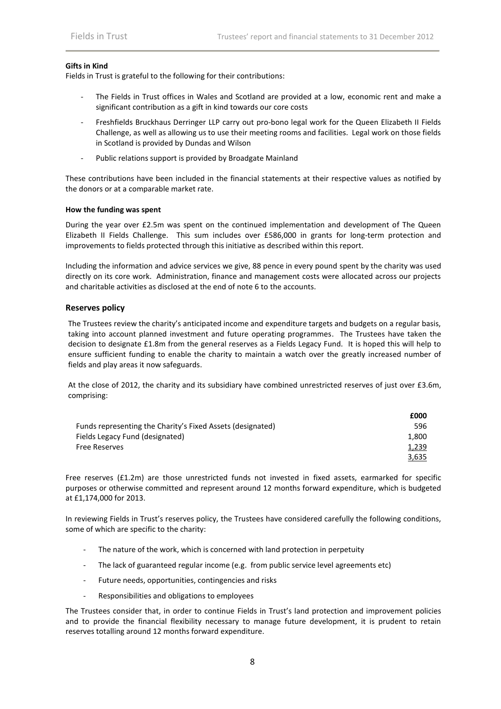### **Gifts in Kind**

Fields in Trust is grateful to the following for their contributions:

- The Fields in Trust offices in Wales and Scotland are provided at a low, economic rent and make a significant contribution as a gift in kind towards our core costs
- Freshfields Bruckhaus Derringer LLP carry out pro-bono legal work for the Queen Elizabeth II Fields Challenge, as well as allowing us to use their meeting rooms and facilities. Legal work on those fields in Scotland is provided by Dundas and Wilson
- Public relations support is provided by Broadgate Mainland

These contributions have been included in the financial statements at their respective values as notified by the donors or at a comparable market rate.

### **How the funding was spent**

During the year over £2.5m was spent on the continued implementation and development of The Queen Elizabeth II Fields Challenge. This sum includes over £586,000 in grants for long-term protection and improvements to fields protected through this initiative as described within this report.

Including the information and advice services we give, 88 pence in every pound spent by the charity was used directly on its core work. Administration, finance and management costs were allocated across our projects and charitable activities as disclosed at the end of note 6 to the accounts.

### **Reserves policy**

The Trustees review the charity's anticipated income and expenditure targets and budgets on a regular basis, taking into account planned investment and future operating programmes. The Trustees have taken the decision to designate £1.8m from the general reserves as a Fields Legacy Fund. It is hoped this will help to ensure sufficient funding to enable the charity to maintain a watch over the greatly increased number of fields and play areas it now safeguards.

At the close of 2012, the charity and its subsidiary have combined unrestricted reserves of just over £3.6m, comprising:

**£000**

|                                                            | <b>£000</b> |
|------------------------------------------------------------|-------------|
| Funds representing the Charity's Fixed Assets (designated) | 596         |
| Fields Legacy Fund (designated)                            | 1.800       |
| Free Reserves                                              | 1,239       |
|                                                            | 3,635       |

Free reserves (£1.2m) are those unrestricted funds not invested in fixed assets, earmarked for specific purposes or otherwise committed and represent around 12 months forward expenditure, which is budgeted at £1,174,000 for 2013.

In reviewing Fields in Trust's reserves policy, the Trustees have considered carefully the following conditions, some of which are specific to the charity:

- The nature of the work, which is concerned with land protection in perpetuity
- The lack of guaranteed regular income (e.g. from public service level agreements etc)
- Future needs, opportunities, contingencies and risks
- Responsibilities and obligations to employees

The Trustees consider that, in order to continue Fields in Trust's land protection and improvement policies and to provide the financial flexibility necessary to manage future development, it is prudent to retain reserves totalling around 12 months forward expenditure.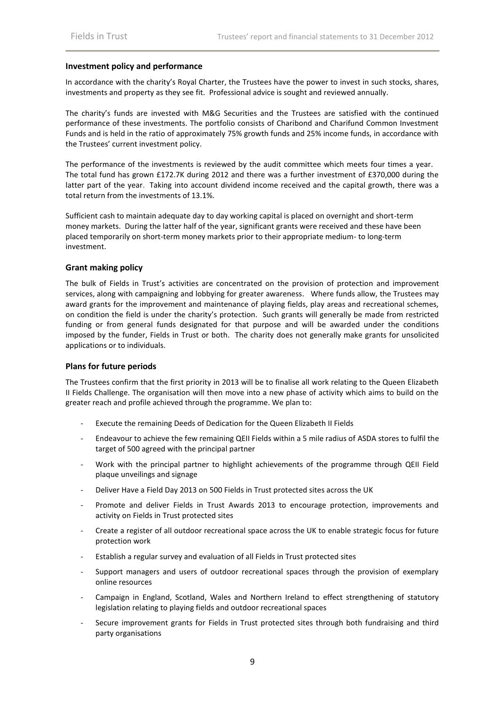### **Investment policy and performance**

In accordance with the charity's Royal Charter, the Trustees have the power to invest in such stocks, shares, investments and property as they see fit. Professional advice is sought and reviewed annually.

The charity's funds are invested with M&G Securities and the Trustees are satisfied with the continued performance of these investments. The portfolio consists of Charibond and Charifund Common Investment Funds and is held in the ratio of approximately 75% growth funds and 25% income funds, in accordance with the Trustees' current investment policy.

The performance of the investments is reviewed by the audit committee which meets four times a year. The total fund has grown £172.7K during 2012 and there was a further investment of £370,000 during the latter part of the year. Taking into account dividend income received and the capital growth, there was a total return from the investments of 13.1%.

Sufficient cash to maintain adequate day to day working capital is placed on overnight and short-term money markets. During the latter half of the year, significant grants were received and these have been placed temporarily on short-term money markets prior to their appropriate medium- to long-term investment.

### **Grant making policy**

The bulk of Fields in Trust's activities are concentrated on the provision of protection and improvement services, along with campaigning and lobbying for greater awareness. Where funds allow, the Trustees may award grants for the improvement and maintenance of playing fields, play areas and recreational schemes, on condition the field is under the charity's protection. Such grants will generally be made from restricted funding or from general funds designated for that purpose and will be awarded under the conditions imposed by the funder, Fields in Trust or both. The charity does not generally make grants for unsolicited applications or to individuals.

### **Plans for future periods**

The Trustees confirm that the first priority in 2013 will be to finalise all work relating to the Queen Elizabeth II Fields Challenge. The organisation will then move into a new phase of activity which aims to build on the greater reach and profile achieved through the programme. We plan to:

- Execute the remaining Deeds of Dedication for the Queen Elizabeth II Fields
- Endeavour to achieve the few remaining QEII Fields within a 5 mile radius of ASDA stores to fulfil the target of 500 agreed with the principal partner
- Work with the principal partner to highlight achievements of the programme through QEII Field plaque unveilings and signage
- Deliver Have a Field Day 2013 on 500 Fields in Trust protected sites across the UK
- Promote and deliver Fields in Trust Awards 2013 to encourage protection, improvements and activity on Fields in Trust protected sites
- Create a register of all outdoor recreational space across the UK to enable strategic focus for future protection work
- Establish a regular survey and evaluation of all Fields in Trust protected sites
- Support managers and users of outdoor recreational spaces through the provision of exemplary online resources
- Campaign in England, Scotland, Wales and Northern Ireland to effect strengthening of statutory legislation relating to playing fields and outdoor recreational spaces
- Secure improvement grants for Fields in Trust protected sites through both fundraising and third party organisations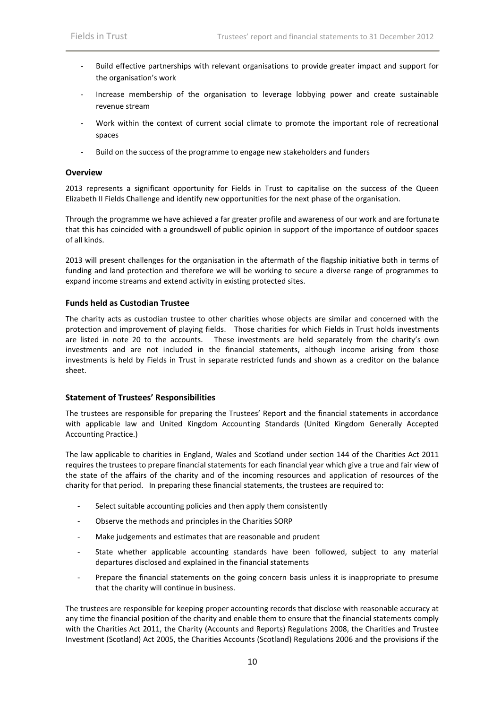- Build effective partnerships with relevant organisations to provide greater impact and support for the organisation's work
- Increase membership of the organisation to leverage lobbying power and create sustainable revenue stream
- Work within the context of current social climate to promote the important role of recreational spaces
- Build on the success of the programme to engage new stakeholders and funders

### **Overview**

2013 represents a significant opportunity for Fields in Trust to capitalise on the success of the Queen Elizabeth II Fields Challenge and identify new opportunities for the next phase of the organisation.

Through the programme we have achieved a far greater profile and awareness of our work and are fortunate that this has coincided with a groundswell of public opinion in support of the importance of outdoor spaces of all kinds.

2013 will present challenges for the organisation in the aftermath of the flagship initiative both in terms of funding and land protection and therefore we will be working to secure a diverse range of programmes to expand income streams and extend activity in existing protected sites.

### **Funds held as Custodian Trustee**

The charity acts as custodian trustee to other charities whose objects are similar and concerned with the protection and improvement of playing fields. Those charities for which Fields in Trust holds investments are listed in note 20 to the accounts. These investments are held separately from the charity's own investments and are not included in the financial statements, although income arising from those investments is held by Fields in Trust in separate restricted funds and shown as a creditor on the balance sheet.

### **Statement of Trustees' Responsibilities**

The trustees are responsible for preparing the Trustees' Report and the financial statements in accordance with applicable law and United Kingdom Accounting Standards (United Kingdom Generally Accepted Accounting Practice.)

The law applicable to charities in England, Wales and Scotland under section 144 of the Charities Act 2011 requires the trustees to prepare financial statements for each financial year which give a true and fair view of the state of the affairs of the charity and of the incoming resources and application of resources of the charity for that period. In preparing these financial statements, the trustees are required to:

- Select suitable accounting policies and then apply them consistently
- Observe the methods and principles in the Charities SORP
- Make judgements and estimates that are reasonable and prudent
- State whether applicable accounting standards have been followed, subject to any material departures disclosed and explained in the financial statements
- Prepare the financial statements on the going concern basis unless it is inappropriate to presume that the charity will continue in business.

The trustees are responsible for keeping proper accounting records that disclose with reasonable accuracy at any time the financial position of the charity and enable them to ensure that the financial statements comply with the Charities Act 2011, the Charity (Accounts and Reports) Regulations 2008, the Charities and Trustee Investment (Scotland) Act 2005, the Charities Accounts (Scotland) Regulations 2006 and the provisions if the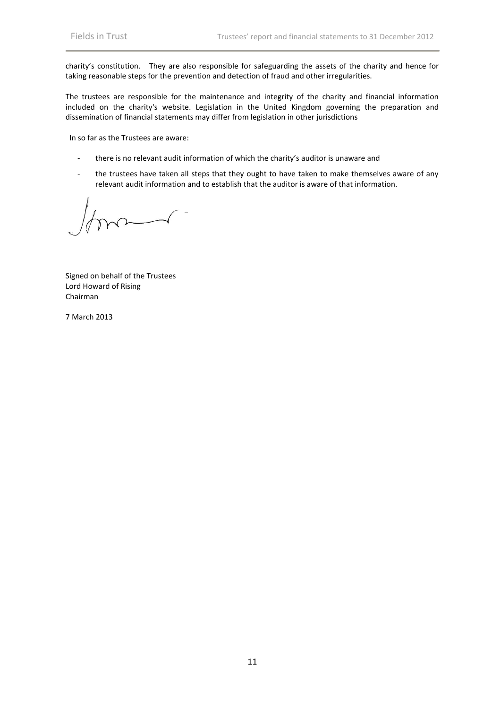charity's constitution. They are also responsible for safeguarding the assets of the charity and hence for taking reasonable steps for the prevention and detection of fraud and other irregularities.

The trustees are responsible for the maintenance and integrity of the charity and financial information included on the charity's website. Legislation in the United Kingdom governing the preparation and dissemination of financial statements may differ from legislation in other jurisdictions

In so far as the Trustees are aware:

- there is no relevant audit information of which the charity's auditor is unaware and
- the trustees have taken all steps that they ought to have taken to make themselves aware of any relevant audit information and to establish that the auditor is aware of that information.

Signed on behalf of the Trustees Lord Howard of Rising Chairman

7 March 2013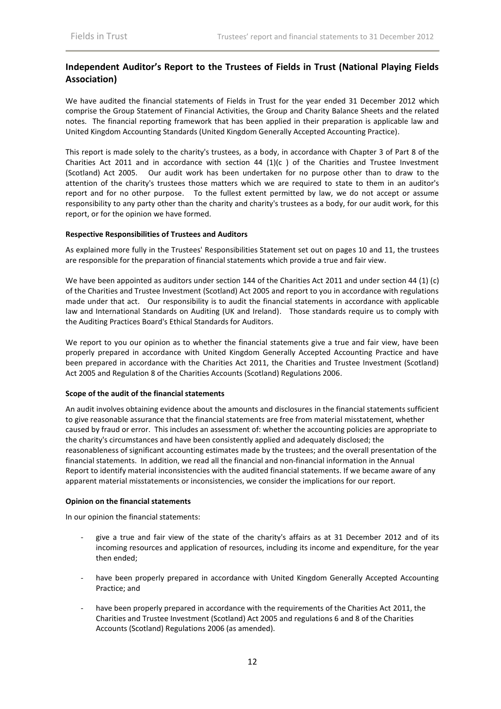# **Independent Auditor's Report to the Trustees of Fields in Trust (National Playing Fields Association)**

We have audited the financial statements of Fields in Trust for the year ended 31 December 2012 which comprise the Group Statement of Financial Activities, the Group and Charity Balance Sheets and the related notes. The financial reporting framework that has been applied in their preparation is applicable law and United Kingdom Accounting Standards (United Kingdom Generally Accepted Accounting Practice).

This report is made solely to the charity's trustees, as a body, in accordance with Chapter 3 of Part 8 of the Charities Act 2011 and in accordance with section 44  $(1)(c)$  of the Charities and Trustee Investment (Scotland) Act 2005. Our audit work has been undertaken for no purpose other than to draw to the attention of the charity's trustees those matters which we are required to state to them in an auditor's report and for no other purpose. To the fullest extent permitted by law, we do not accept or assume responsibility to any party other than the charity and charity's trustees as a body, for our audit work, for this report, or for the opinion we have formed.

### **Respective Responsibilities of Trustees and Auditors**

As explained more fully in the Trustees' Responsibilities Statement set out on pages 10 and 11, the trustees are responsible for the preparation of financial statements which provide a true and fair view.

We have been appointed as auditors under section 144 of the Charities Act 2011 and under section 44 (1) (c) of the Charities and Trustee Investment (Scotland) Act 2005 and report to you in accordance with regulations made under that act. Our responsibility is to audit the financial statements in accordance with applicable law and International Standards on Auditing (UK and Ireland). Those standards require us to comply with the Auditing Practices Board's Ethical Standards for Auditors.

We report to you our opinion as to whether the financial statements give a true and fair view, have been properly prepared in accordance with United Kingdom Generally Accepted Accounting Practice and have been prepared in accordance with the Charities Act 2011, the Charities and Trustee Investment (Scotland) Act 2005 and Regulation 8 of the Charities Accounts (Scotland) Regulations 2006.

### **Scope of the audit of the financial statements**

An audit involves obtaining evidence about the amounts and disclosures in the financial statements sufficient to give reasonable assurance that the financial statements are free from material misstatement, whether caused by fraud or error. This includes an assessment of: whether the accounting policies are appropriate to the charity's circumstances and have been consistently applied and adequately disclosed; the reasonableness of significant accounting estimates made by the trustees; and the overall presentation of the financial statements. In addition, we read all the financial and non-financial information in the Annual Report to identify material inconsistencies with the audited financial statements. If we became aware of any apparent material misstatements or inconsistencies, we consider the implications for our report.

### **Opinion on the financial statements**

In our opinion the financial statements:

- give a true and fair view of the state of the charity's affairs as at 31 December 2012 and of its incoming resources and application of resources, including its income and expenditure, for the year then ended;
- have been properly prepared in accordance with United Kingdom Generally Accepted Accounting Practice; and
- have been properly prepared in accordance with the requirements of the Charities Act 2011, the Charities and Trustee Investment (Scotland) Act 2005 and regulations 6 and 8 of the Charities Accounts (Scotland) Regulations 2006 (as amended).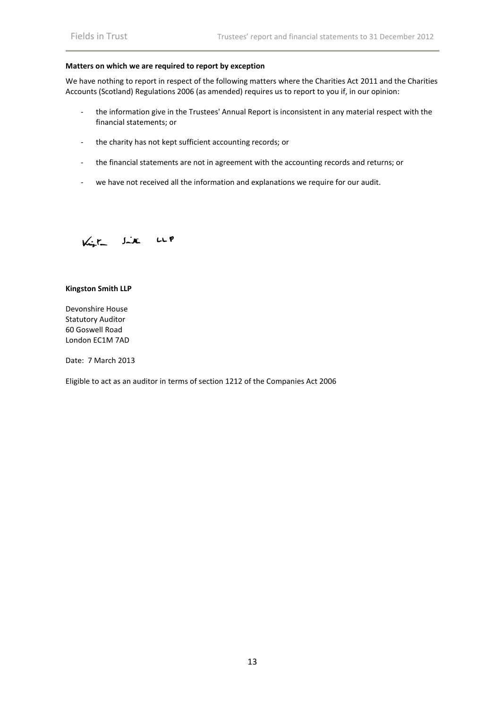### **Matters on which we are required to report by exception**

We have nothing to report in respect of the following matters where the Charities Act 2011 and the Charities Accounts (Scotland) Regulations 2006 (as amended) requires us to report to you if, in our opinion:

- the information give in the Trustees' Annual Report is inconsistent in any material respect with the financial statements; or
- the charity has not kept sufficient accounting records; or
- the financial statements are not in agreement with the accounting records and returns; or
- we have not received all the information and explanations we require for our audit.

Kigt like LLP

### **Kingston Smith LLP**

Devonshire House Statutory Auditor 60 Goswell Road London EC1M 7AD

Date: 7 March 2013

Eligible to act as an auditor in terms of section 1212 of the Companies Act 2006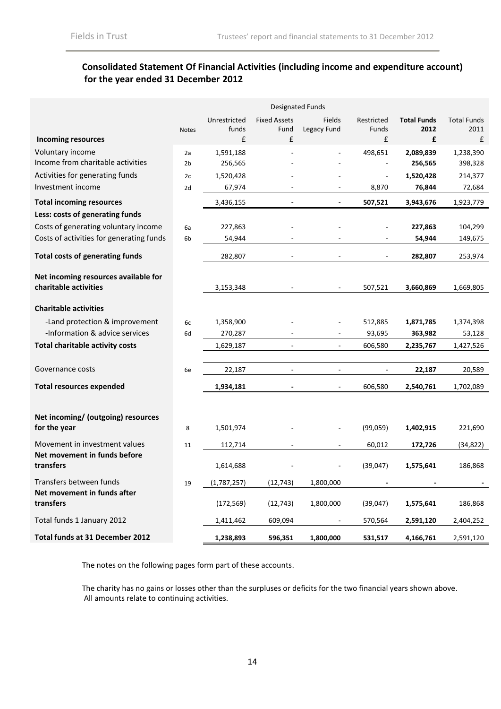# **Consolidated Statement Of Financial Activities (including income and expenditure account) for the year ended 31 December 2012**

|                                                       | <b>Designated Funds</b> |                      |                          |                          |                          |                          |                      |
|-------------------------------------------------------|-------------------------|----------------------|--------------------------|--------------------------|--------------------------|--------------------------|----------------------|
|                                                       |                         | Unrestricted         | <b>Fixed Assets</b>      | <b>Fields</b>            | Restricted               | <b>Total Funds</b>       | <b>Total Funds</b>   |
|                                                       | <b>Notes</b>            | funds                | Fund                     | Legacy Fund              | Funds                    | 2012                     | 2011                 |
| <b>Incoming resources</b>                             |                         | £                    | £                        |                          | £                        | £                        | £                    |
| Voluntary income<br>Income from charitable activities | 2a<br>2 <sub>b</sub>    | 1,591,188<br>256,565 |                          |                          | 498,651                  | 2,089,839<br>256,565     | 1,238,390<br>398,328 |
| Activities for generating funds                       |                         |                      |                          |                          |                          |                          |                      |
| Investment income                                     | 2c<br>2d                | 1,520,428<br>67,974  |                          |                          | 8,870                    | 1,520,428<br>76,844      | 214,377<br>72,684    |
|                                                       |                         |                      |                          |                          |                          |                          |                      |
| <b>Total incoming resources</b>                       |                         | 3,436,155            |                          | $\blacksquare$           | 507,521                  | 3,943,676                | 1,923,779            |
| Less: costs of generating funds                       |                         |                      |                          |                          |                          |                          |                      |
| Costs of generating voluntary income                  | 6a                      | 227,863              |                          |                          |                          | 227,863                  | 104,299              |
| Costs of activities for generating funds              | 6 <sub>b</sub>          | 54,944               |                          |                          |                          | 54,944                   | 149,675              |
| <b>Total costs of generating funds</b>                |                         | 282,807              |                          |                          |                          | 282,807                  | 253,974              |
| Net incoming resources available for                  |                         |                      |                          |                          |                          |                          |                      |
| charitable activities                                 |                         | 3,153,348            |                          |                          | 507,521                  | 3,660,869                | 1,669,805            |
|                                                       |                         |                      |                          |                          |                          |                          |                      |
| <b>Charitable activities</b>                          |                         |                      |                          |                          |                          |                          |                      |
| -Land protection & improvement                        | 6c                      | 1,358,900            |                          |                          | 512,885                  | 1,871,785                | 1,374,398            |
| -Information & advice services                        | 6d                      | 270,287              |                          |                          | 93,695                   | 363,982                  | 53,128               |
| <b>Total charitable activity costs</b>                |                         | 1,629,187            | $\overline{\phantom{a}}$ | $\overline{\phantom{a}}$ | 606,580                  | 2,235,767                | 1,427,526            |
|                                                       |                         |                      |                          |                          |                          |                          |                      |
| Governance costs                                      | 6e                      | 22,187               |                          | $\overline{\phantom{a}}$ |                          | 22,187                   | 20,589               |
| <b>Total resources expended</b>                       |                         | 1,934,181            | $\blacksquare$           | $\overline{\phantom{a}}$ | 606,580                  | 2,540,761                | 1,702,089            |
|                                                       |                         |                      |                          |                          |                          |                          |                      |
| Net incoming/ (outgoing) resources                    |                         |                      |                          |                          |                          |                          |                      |
| for the year                                          | 8                       | 1,501,974            |                          |                          | (99,059)                 | 1,402,915                | 221,690              |
| Movement in investment values                         | 11                      | 112,714              | $\sim$                   | ÷.                       | 60,012                   | 172,726                  | (34, 822)            |
| Net movement in funds before<br>transfers             |                         | 1,614,688            |                          |                          | (39,047)                 | 1,575,641                | 186,868              |
| Transfers between funds                               | 19                      | (1,787,257)          | (12, 743)                | 1,800,000                | $\overline{\phantom{a}}$ | $\overline{\phantom{a}}$ |                      |
| Net movement in funds after                           |                         |                      |                          |                          |                          |                          |                      |
| transfers                                             |                         | (172, 569)           | (12, 743)                | 1,800,000                | (39,047)                 | 1,575,641                | 186,868              |
| Total funds 1 January 2012                            |                         | 1,411,462            | 609,094                  |                          | 570,564                  | 2,591,120                | 2,404,252            |
| Total funds at 31 December 2012                       |                         | 1,238,893            | 596,351                  | 1,800,000                | 531,517                  | 4,166,761                | 2,591,120            |

The notes on the following pages form part of these accounts.

The charity has no gains or losses other than the surpluses or deficits for the two financial years shown above. All amounts relate to continuing activities.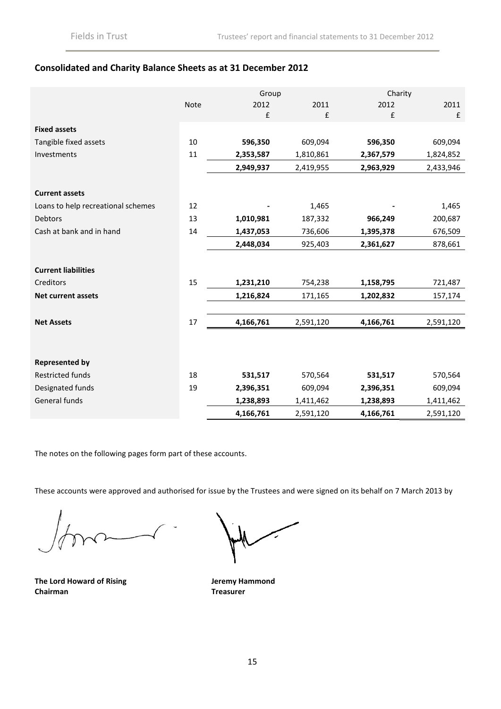# **Consolidated and Charity Balance Sheets as at 31 December 2012**

|                                    |      | Group              | Charity            |                    |           |
|------------------------------------|------|--------------------|--------------------|--------------------|-----------|
|                                    | Note | 2012               | 2011               | 2012               | 2011      |
|                                    |      | $\pmb{\mathsf{f}}$ | $\pmb{\mathsf{f}}$ | $\pmb{\mathsf{f}}$ | £         |
| <b>Fixed assets</b>                |      |                    |                    |                    |           |
| Tangible fixed assets              | 10   | 596,350            | 609,094            | 596,350            | 609,094   |
| Investments                        | 11   | 2,353,587          | 1,810,861          | 2,367,579          | 1,824,852 |
|                                    |      | 2,949,937          | 2,419,955          | 2,963,929          | 2,433,946 |
| <b>Current assets</b>              |      |                    |                    |                    |           |
| Loans to help recreational schemes | 12   |                    | 1,465              |                    | 1,465     |
| Debtors                            | 13   | 1,010,981          | 187,332            | 966,249            | 200,687   |
| Cash at bank and in hand           | 14   | 1,437,053          | 736,606            | 1,395,378          | 676,509   |
|                                    |      | 2,448,034          | 925,403            | 2,361,627          | 878,661   |
| <b>Current liabilities</b>         |      |                    |                    |                    |           |
| Creditors                          | 15   | 1,231,210          | 754,238            | 1,158,795          | 721,487   |
| <b>Net current assets</b>          |      | 1,216,824          | 171,165            | 1,202,832          | 157,174   |
| <b>Net Assets</b>                  | 17   | 4,166,761          | 2,591,120          | 4,166,761          | 2,591,120 |
|                                    |      |                    |                    |                    |           |
| <b>Represented by</b>              |      |                    |                    |                    |           |
| Restricted funds                   | 18   | 531,517            | 570,564            | 531,517            | 570,564   |
| Designated funds                   | 19   | 2,396,351          | 609,094            | 2,396,351          | 609,094   |
| General funds                      |      | 1,238,893          | 1,411,462          | 1,238,893          | 1,411,462 |
|                                    |      | 4,166,761          | 2,591,120          | 4,166,761          | 2,591,120 |

The notes on the following pages form part of these accounts.

These accounts were approved and authorised for issue by the Trustees and were signed on its behalf on 7 March 2013 by

**The Lord Howard of Rising Chairman**

**Jeremy Hammond Treasurer**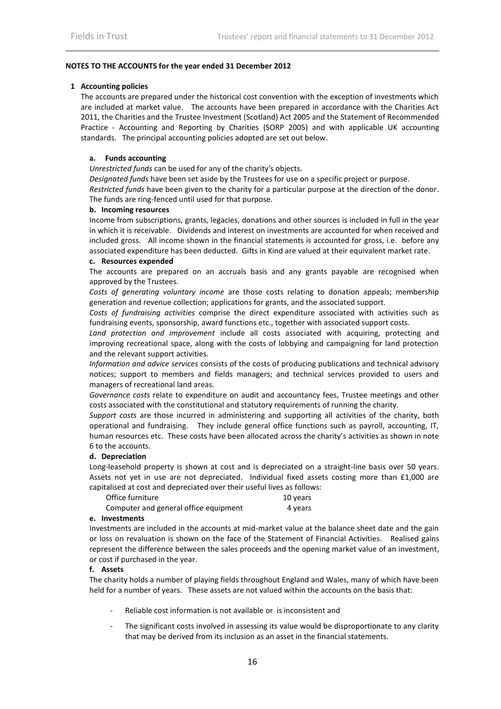### **NOTES TO THE ACCOUNTS for the year ended 31 December 2012**

### **1 Accounting policies**

The accounts are prepared under the historical cost convention with the exception of investments which are included at market value. The accounts have been prepared in accordance with the Charities Act 2011, the Charities and the Trustee Investment (Scotland) Act 2005 and the Statement of Recommended Practice - Accounting and Reporting by Charities (SORP 2005) and with applicable UK accounting standards. The principal accounting policies adopted are set out below.

### **a. Funds accounting**

*Unrestricted funds* can be used for any of the charity's objects.

*Designated funds* have been set aside by the Trustees for use on a specific project or purpose.

*Restricted funds* have been given to the charity for a particular purpose at the direction of the donor. The funds are ring-fenced until used for that purpose.

### **b. Incoming resources**

Income from subscriptions, grants, legacies, donations and other sources is included in full in the year in which it is receivable. Dividends and interest on investments are accounted for when received and included gross. All income shown in the financial statements is accounted for gross, i.e. before any associated expenditure has been deducted. Gifts in Kind are valued at their equivalent market rate.

### **c. Resources expended**

The accounts are prepared on an accruals basis and any grants payable are recognised when approved by the Trustees.

*Costs of generating voluntary income* are those costs relating to donation appeals; membership generation and revenue collection; applications for grants, and the associated support.

*Costs of fundraising activities* comprise the direct expenditure associated with activities such as fundraising events, sponsorship, award functions etc., together with associated support costs.

*Land protection and improvement* include all costs associated with acquiring, protecting and improving recreational space, along with the costs of lobbying and campaigning for land protection and the relevant support activities.

*Information and advice services* consists of the costs of producing publications and technical advisory notices; support to members and fields managers; and technical services provided to users and managers of recreational land areas.

*Governance costs* relate to expenditure on audit and accountancy fees, Trustee meetings and other costs associated with the constitutional and statutory requirements of running the charity.

*Support costs* are those incurred in administering and supporting all activities of the charity, both operational and fundraising. They include general office functions such as payroll, accounting, IT, human resources etc. These costs have been allocated across the charity's activities as shown in note 6 to the accounts.

### **d. Depreciation**

Long-leasehold property is shown at cost and is depreciated on a straight-line basis over 50 years. Assets not yet in use are not depreciated. Individual fixed assets costing more than £1,000 are capitalised at cost and depreciated over their useful lives as follows:

Office furniture 10 years

Computer and general office equipment 4 years

### **e. Investments**

Investments are included in the accounts at mid-market value at the balance sheet date and the gain or loss on revaluation is shown on the face of the Statement of Financial Activities. Realised gains represent the difference between the sales proceeds and the opening market value of an investment, or cost if purchased in the year.

### **f. Assets**

The charity holds a number of playing fields throughout England and Wales, many of which have been held for a number of years. These assets are not valued within the accounts on the basis that:

- Reliable cost information is not available or is inconsistent and
- The significant costs involved in assessing its value would be disproportionate to any clarity that may be derived from its inclusion as an asset in the financial statements.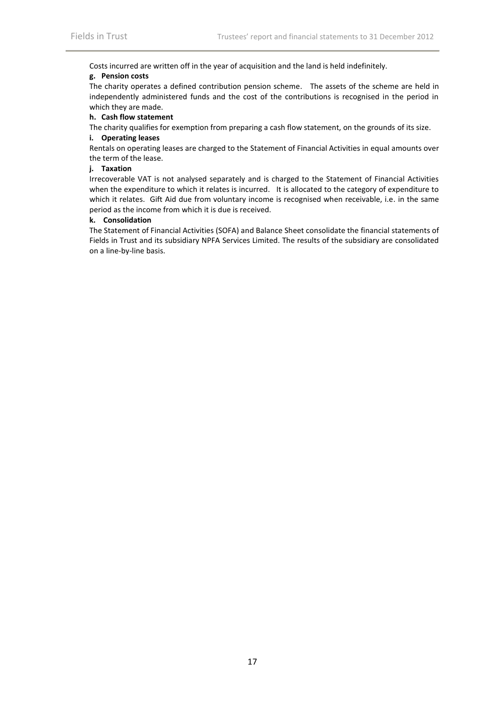Costs incurred are written off in the year of acquisition and the land is held indefinitely.

## **g. Pension costs**

The charity operates a defined contribution pension scheme. The assets of the scheme are held in independently administered funds and the cost of the contributions is recognised in the period in which they are made.

### **h. Cash flow statement**

The charity qualifies for exemption from preparing a cash flow statement, on the grounds of its size.

# **i. Operating leases**

Rentals on operating leases are charged to the Statement of Financial Activities in equal amounts over the term of the lease.

# **j. Taxation**

Irrecoverable VAT is not analysed separately and is charged to the Statement of Financial Activities when the expenditure to which it relates is incurred. It is allocated to the category of expenditure to which it relates. Gift Aid due from voluntary income is recognised when receivable, i.e. in the same period as the income from which it is due is received.

### **k. Consolidation**

The Statement of Financial Activities (SOFA) and Balance Sheet consolidate the financial statements of Fields in Trust and its subsidiary NPFA Services Limited. The results of the subsidiary are consolidated on a line-by-line basis.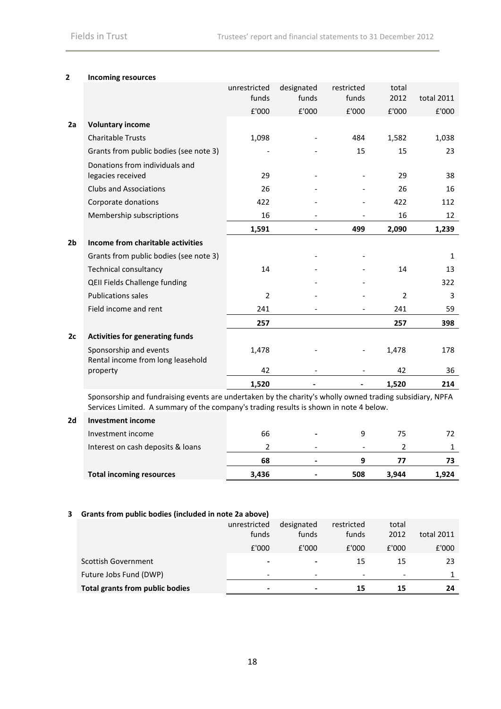### **2 Incoming resources**

|                |                                                             | unrestricted   | designated | restricted | total          |              |
|----------------|-------------------------------------------------------------|----------------|------------|------------|----------------|--------------|
|                |                                                             | funds          | funds      | funds      | 2012           | total 2011   |
|                |                                                             | £'000          | £'000      | £'000      | £'000          | £'000        |
| 2a             | <b>Voluntary income</b>                                     |                |            |            |                |              |
|                | <b>Charitable Trusts</b>                                    | 1,098          |            | 484        | 1,582          | 1,038        |
|                | Grants from public bodies (see note 3)                      |                |            | 15         | 15             | 23           |
|                | Donations from individuals and<br>legacies received         | 29             |            |            | 29             | 38           |
|                | <b>Clubs and Associations</b>                               | 26             |            |            | 26             | 16           |
|                | Corporate donations                                         | 422            |            |            | 422            | 112          |
|                | Membership subscriptions                                    | 16             |            |            | 16             | 12           |
|                |                                                             | 1,591          | Ĭ.         | 499        | 2,090          | 1,239        |
| 2 <sub>b</sub> | Income from charitable activities                           |                |            |            |                |              |
|                | Grants from public bodies (see note 3)                      |                |            |            |                | $\mathbf{1}$ |
|                | <b>Technical consultancy</b>                                | 14             |            |            | 14             | 13           |
|                | QEII Fields Challenge funding                               |                |            |            |                | 322          |
|                | <b>Publications sales</b>                                   | $\overline{2}$ |            |            | $\overline{2}$ | 3            |
|                | Field income and rent                                       | 241            |            |            | 241            | 59           |
|                |                                                             | 257            |            |            | 257            | 398          |
| 2c             | <b>Activities for generating funds</b>                      |                |            |            |                |              |
|                | Sponsorship and events<br>Rental income from long leasehold | 1,478          |            |            | 1,478          | 178          |
|                | property                                                    | 42             |            |            | 42             | 36           |
|                |                                                             | 1,520          |            |            | 1,520          | 214          |
|                |                                                             |                |            |            |                |              |

Sponsorship and fundraising events are undertaken by the charity's wholly owned trading subsidiary, NPFA Services Limited. A summary of the company's trading results is shown in note 4 below.

# **2d Investment income**

| Investment income                 | 66    | $\blacksquare$           |     | 75    |       |
|-----------------------------------|-------|--------------------------|-----|-------|-------|
| Interest on cash deposits & loans |       | $\overline{\phantom{a}}$ |     |       |       |
|                                   | 68    | ٠                        |     |       |       |
| <b>Total incoming resources</b>   | 3,436 | $\blacksquare$           | 508 | 3.944 | 1.924 |

### **3 Grants from public bodies (included in note 2a above)**

| Total grants from public bodies | $\overline{\phantom{0}}$ | $\overline{\phantom{0}}$ | 15                  | 15            | 24         |
|---------------------------------|--------------------------|--------------------------|---------------------|---------------|------------|
| Future Jobs Fund (DWP)          | $\overline{\phantom{0}}$ | $\overline{\phantom{a}}$ | -                   |               |            |
| Scottish Government             | $\blacksquare$           | $\,$                     | 15                  | 15            | 23         |
|                                 | £'000                    | £'000                    | E'000               | £'000         | £'000      |
|                                 | unrestricted<br>funds    | designated<br>funds      | restricted<br>funds | total<br>2012 | total 2011 |
|                                 |                          |                          |                     |               |            |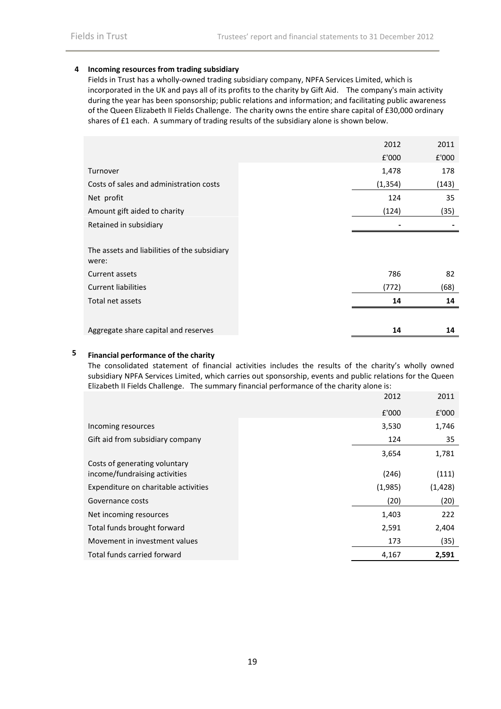### **4 Incoming resources from trading subsidiary**

Fields in Trust has a wholly-owned trading subsidiary company, NPFA Services Limited, which is incorporated in the UK and pays all of its profits to the charity by Gift Aid. The company's main activity during the year has been sponsorship; public relations and information; and facilitating public awareness of the Queen Elizabeth II Fields Challenge. The charity owns the entire share capital of £30,000 ordinary shares of £1 each. A summary of trading results of the subsidiary alone is shown below.

|                                                       | 2012     | 2011  |
|-------------------------------------------------------|----------|-------|
|                                                       | £'000    | £'000 |
| Turnover                                              | 1,478    | 178   |
| Costs of sales and administration costs               | (1, 354) | (143) |
| Net profit                                            | 124      | 35    |
| Amount gift aided to charity                          | (124)    | (35)  |
| Retained in subsidiary                                |          |       |
|                                                       |          |       |
| The assets and liabilities of the subsidiary<br>were: |          |       |
| Current assets                                        | 786      | 82    |
| <b>Current liabilities</b>                            | (772)    | (68)  |
| Total net assets                                      | 14       | 14    |
|                                                       |          |       |
| Aggregate share capital and reserves                  | 14       | 14    |

# **5 Financial performance of the charity**

The consolidated statement of financial activities includes the results of the charity's wholly owned subsidiary NPFA Services Limited, which carries out sponsorship, events and public relations for the Queen Elizabeth II Fields Challenge. The summary financial performance of the charity alone is:

|                                      | 2012    | 2011     |
|--------------------------------------|---------|----------|
|                                      | £'000   | £'000    |
| Incoming resources                   | 3,530   | 1,746    |
| Gift aid from subsidiary company     | 124     | 35       |
|                                      | 3,654   | 1,781    |
| Costs of generating voluntary        |         |          |
| income/fundraising activities        | (246)   | (111)    |
| Expenditure on charitable activities | (1,985) | (1, 428) |
| Governance costs                     | (20)    | (20)     |
| Net incoming resources               | 1,403   | 222      |
| Total funds brought forward          | 2,591   | 2,404    |
| Movement in investment values        | 173     | (35)     |
| Total funds carried forward          | 4,167   | 2,591    |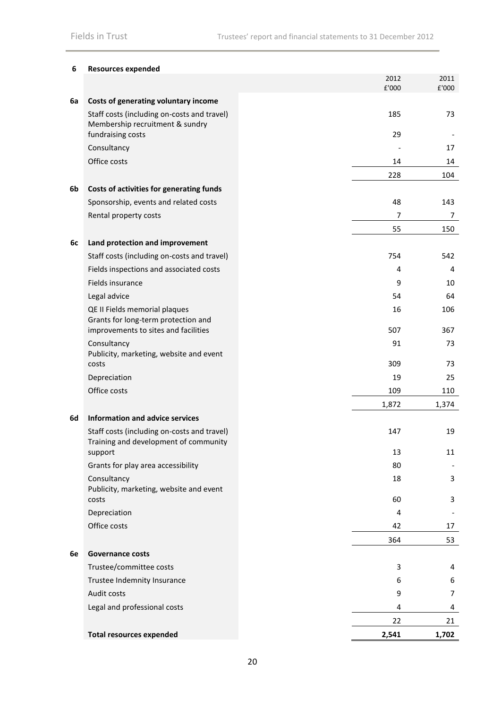| 6  | <b>Resources expended</b>                                                                                    |               |               |
|----|--------------------------------------------------------------------------------------------------------------|---------------|---------------|
|    |                                                                                                              | 2012<br>£'000 | 2011<br>£'000 |
| 6a | Costs of generating voluntary income                                                                         |               |               |
|    | Staff costs (including on-costs and travel)<br>Membership recruitment & sundry                               | 185           | 73            |
|    | fundraising costs                                                                                            | 29            |               |
|    | Consultancy                                                                                                  |               | 17            |
|    | Office costs                                                                                                 | 14            | 14            |
|    |                                                                                                              | 228           | 104           |
| 6b | Costs of activities for generating funds                                                                     |               |               |
|    | Sponsorship, events and related costs                                                                        | 48            | 143           |
|    | Rental property costs                                                                                        | 7             | 7             |
|    |                                                                                                              | 55            | 150           |
| 6c | Land protection and improvement                                                                              |               |               |
|    | Staff costs (including on-costs and travel)                                                                  | 754           | 542           |
|    | Fields inspections and associated costs                                                                      | 4             | 4             |
|    | Fields insurance                                                                                             | 9             | 10            |
|    | Legal advice                                                                                                 | 54            | 64            |
|    | QE II Fields memorial plaques<br>Grants for long-term protection and<br>improvements to sites and facilities | 16<br>507     | 106<br>367    |
|    | Consultancy                                                                                                  | 91            | 73            |
|    | Publicity, marketing, website and event<br>costs                                                             | 309           | 73            |
|    | Depreciation                                                                                                 | 19            | 25            |
|    | Office costs                                                                                                 | 109           | 110           |
|    |                                                                                                              | 1,872         | 1,374         |
| 6d | Information and advice services                                                                              |               |               |
|    | Staff costs (including on-costs and travel)<br>Training and development of community                         | 147           | 19            |
|    | support                                                                                                      | 13            | 11            |
|    | Grants for play area accessibility                                                                           | 80            |               |
|    | Consultancy<br>Publicity, marketing, website and event                                                       | 18            | 3             |
|    | costs                                                                                                        | 60            | 3             |
|    | Depreciation                                                                                                 | 4             |               |
|    | Office costs                                                                                                 | 42            | 17            |
|    |                                                                                                              | 364           | 53            |
| 6e | <b>Governance costs</b>                                                                                      |               |               |
|    | Trustee/committee costs                                                                                      | 3             | 4             |
|    | Trustee Indemnity Insurance                                                                                  | 6             | 6             |
|    | Audit costs                                                                                                  | 9             | 7             |
|    | Legal and professional costs                                                                                 | 4<br>22       | 4<br>21       |
|    |                                                                                                              |               |               |
|    | <b>Total resources expended</b>                                                                              | 2,541         | 1,702         |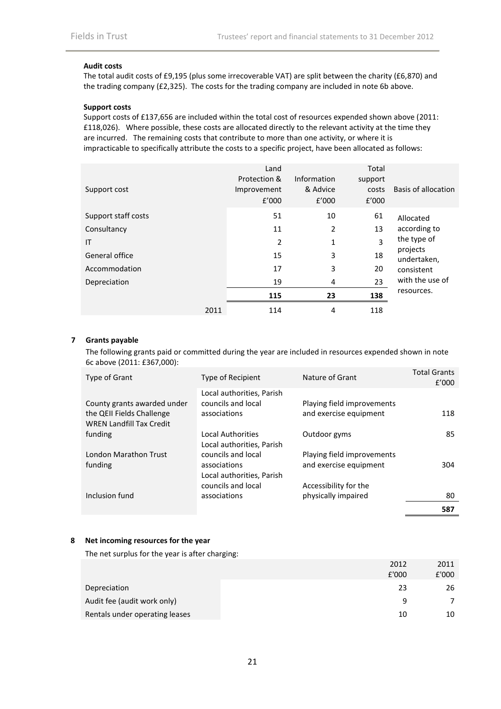### **Audit costs**

The total audit costs of £9,195 (plus some irrecoverable VAT) are split between the charity (£6,870) and the trading company (£2,325). The costs for the trading company are included in note 6b above.

### **Support costs**

Support costs of £137,656 are included within the total cost of resources expended shown above (2011: £118,026). Where possible, these costs are allocated directly to the relevant activity at the time they are incurred. The remaining costs that contribute to more than one activity, or where it is impracticable to specifically attribute the costs to a specific project, have been allocated as follows:

| Support cost        |      | Land<br>Protection &<br>Improvement<br>f'000 | Information<br>& Advice<br>f'000 | Total<br>support<br>costs<br>f'000 | Basis of allocation     |
|---------------------|------|----------------------------------------------|----------------------------------|------------------------------------|-------------------------|
| Support staff costs |      | 51                                           | 10                               | 61                                 | Allocated               |
| Consultancy         |      | 11                                           | 2                                | 13                                 | according to            |
| IT                  |      | 2                                            | 1                                | 3                                  | the type of             |
| General office      |      | 15                                           | 3                                | 18                                 | projects<br>undertaken, |
| Accommodation       |      | 17                                           | 3                                | 20                                 | consistent              |
| Depreciation        |      | 19                                           | 4                                | 23                                 | with the use of         |
|                     |      | 115                                          | 23                               | 138                                | resources.              |
|                     | 2011 | 114                                          | 4                                | 118                                |                         |

### **7 Grants payable**

The following grants paid or committed during the year are included in resources expended shown in note 6c above (2011: £367,000):

| Type of Grant                                            | <b>Type of Recipient</b>                                                                     | Nature of Grant                                      | <b>Total Grants</b><br>f'000 |
|----------------------------------------------------------|----------------------------------------------------------------------------------------------|------------------------------------------------------|------------------------------|
| County grants awarded under<br>the QEII Fields Challenge | Local authorities, Parish<br>councils and local<br>associations                              | Playing field improvements<br>and exercise equipment | 118                          |
| <b>WREN Landfill Tax Credit</b><br>funding               | <b>Local Authorities</b>                                                                     | Outdoor gyms                                         | 85                           |
| London Marathon Trust<br>funding                         | Local authorities, Parish<br>councils and local<br>associations<br>Local authorities, Parish | Playing field improvements<br>and exercise equipment | 304                          |
| Inclusion fund                                           | councils and local<br>associations                                                           | Accessibility for the<br>physically impaired         | 80                           |
|                                                          |                                                                                              |                                                      | 587                          |

### **8 Net incoming resources for the year**

The net surplus for the year is after charging:

|                                | 2012  | 2011  |
|--------------------------------|-------|-------|
|                                | £'000 | £'000 |
| Depreciation                   | 23    | 26    |
| Audit fee (audit work only)    | q     |       |
| Rentals under operating leases | 10    | 10    |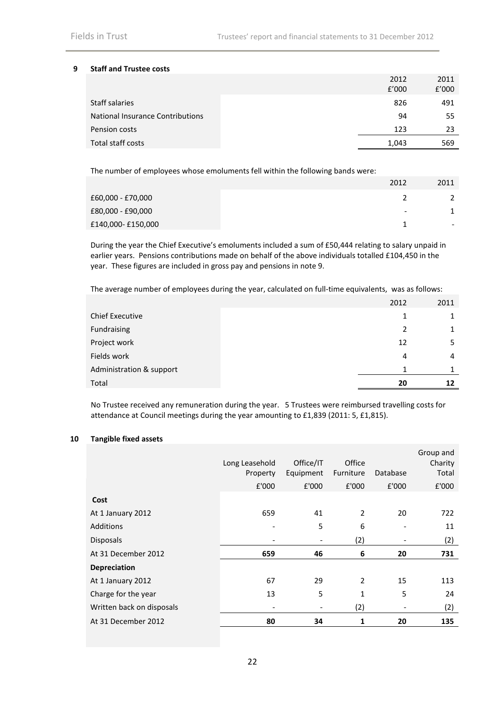### **9 Staff and Trustee costs**

| 2012  | 2011  |
|-------|-------|
| f'000 | f'000 |
| 826   | 491   |
| 94    | 55    |
| 123   | 23    |
| 1,043 | 569   |
|       |       |

The number of employees whose emoluments fell within the following bands were:

|                   | 2012                     | 2011                     |
|-------------------|--------------------------|--------------------------|
| £60,000 - £70,000 |                          |                          |
| £80,000 - £90,000 | $\overline{\phantom{a}}$ |                          |
| £140,000-£150,000 |                          | $\overline{\phantom{0}}$ |

During the year the Chief Executive's emoluments included a sum of £50,444 relating to salary unpaid in earlier years. Pensions contributions made on behalf of the above individuals totalled £104,450 in the year. These figures are included in gross pay and pensions in note 9.

The average number of employees during the year, calculated on full-time equivalents, was as follows:

|                          | 2012 | 2011 |
|--------------------------|------|------|
| <b>Chief Executive</b>   | 1    |      |
| Fundraising              | 2    |      |
| Project work             | 12   | 5.   |
| Fields work              | 4    | 4    |
| Administration & support | 1    |      |
| Total                    | 20   | 12   |

No Trustee received any remuneration during the year. 5 Trustees were reimbursed travelling costs for attendance at Council meetings during the year amounting to £1,839 (2011: 5, £1,815).

### **10 Tangible fixed assets**

|                           |                |           |                |          | Group and |
|---------------------------|----------------|-----------|----------------|----------|-----------|
|                           | Long Leasehold | Office/IT | Office         |          | Charity   |
|                           | Property       | Equipment | Furniture      | Database | Total     |
|                           | £'000          | £'000     | £'000          | £'000    | £'000     |
| Cost                      |                |           |                |          |           |
| At 1 January 2012         | 659            | 41        | $\overline{2}$ | 20       | 722       |
| <b>Additions</b>          |                | 5         | 6              |          | 11        |
| <b>Disposals</b>          |                |           | (2)            |          | (2)       |
| At 31 December 2012       | 659            | 46        | 6              | 20       | 731       |
| <b>Depreciation</b>       |                |           |                |          |           |
| At 1 January 2012         | 67             | 29        | $\overline{2}$ | 15       | 113       |
| Charge for the year       | 13             | 5         | $\mathbf{1}$   | 5        | 24        |
| Written back on disposals |                |           | (2)            |          | (2)       |
| At 31 December 2012       | 80             | 34        | 1              | 20       | 135       |
|                           |                |           |                |          |           |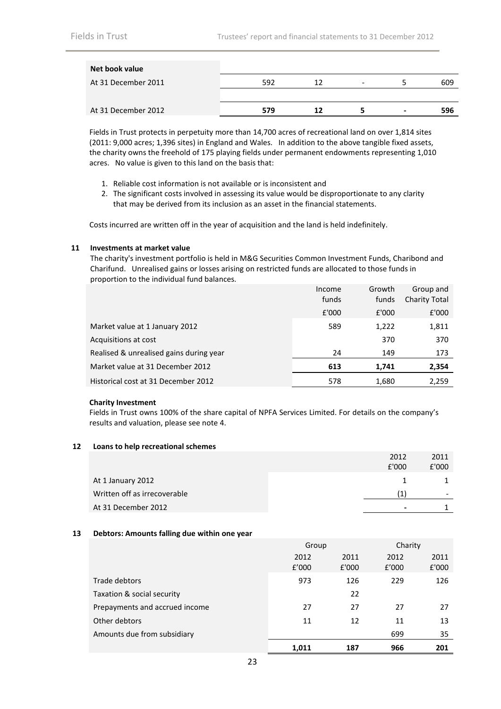| Net book value      |     |    |                          |                          |     |
|---------------------|-----|----|--------------------------|--------------------------|-----|
| At 31 December 2011 | 592 | 12 | $\overline{\phantom{a}}$ |                          | 609 |
|                     |     |    |                          |                          |     |
| At 31 December 2012 | 579 | 12 |                          | $\overline{\phantom{0}}$ | 596 |

Fields in Trust protects in perpetuity more than 14,700 acres of recreational land on over 1,814 sites (2011: 9,000 acres; 1,396 sites) in England and Wales. In addition to the above tangible fixed assets, the charity owns the freehold of 175 playing fields under permanent endowments representing 1,010 acres. No value is given to this land on the basis that:

- 1. Reliable cost information is not available or is inconsistent and
- 2. The significant costs involved in assessing its value would be disproportionate to any clarity that may be derived from its inclusion as an asset in the financial statements.

Costs incurred are written off in the year of acquisition and the land is held indefinitely.

### **11 Investments at market value**

The charity's investment portfolio is held in M&G Securities Common Investment Funds, Charibond and Charifund. Unrealised gains or losses arising on restricted funds are allocated to those funds in proportion to the individual fund balances.

|                                         | Income | Growth | Group and            |
|-----------------------------------------|--------|--------|----------------------|
|                                         | funds  | funds  | <b>Charity Total</b> |
|                                         | £'000  | £'000  | £'000                |
| Market value at 1 January 2012          | 589    | 1,222  | 1,811                |
| Acquisitions at cost                    |        | 370    | 370                  |
| Realised & unrealised gains during year | 24     | 149    | 173                  |
| Market value at 31 December 2012        | 613    | 1.741  | 2.354                |
| Historical cost at 31 December 2012     | 578    | 1,680  | 2,259                |
|                                         |        |        |                      |

### **Charity Investment**

Fields in Trust owns 100% of the share capital of NPFA Services Limited. For details on the company's results and valuation, please see note 4.

### **12 Loans to help recreational schemes**

|                              | 2012         | 2011  |
|------------------------------|--------------|-------|
|                              | £'000        | £'000 |
| At 1 January 2012            |              |       |
| Written off as irrecoverable | $\mathbf{1}$ | -     |
| At 31 December 2012          |              |       |

### **13 Debtors: Amounts falling due within one year**

|                                |               | Group         |               | Charity       |
|--------------------------------|---------------|---------------|---------------|---------------|
|                                | 2012<br>f'000 | 2011<br>£'000 | 2012<br>f'000 | 2011<br>£'000 |
| Trade debtors                  | 973           | 126           | 229           | 126           |
| Taxation & social security     |               | 22            |               |               |
| Prepayments and accrued income | 27            | 27            | 27            | 27            |
| Other debtors                  | 11            | 12            | 11            | 13            |
| Amounts due from subsidiary    |               |               | 699           | 35            |
|                                | 1,011         | 187           | 966           | 201           |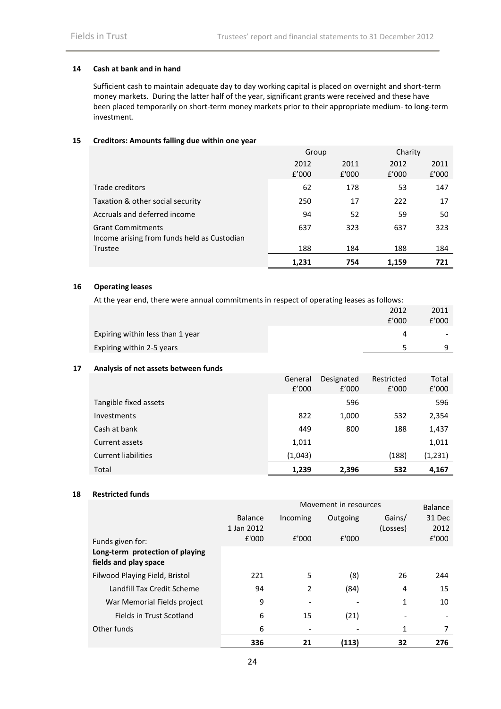### **14 Cash at bank and in hand**

Sufficient cash to maintain adequate day to day working capital is placed on overnight and short-term money markets. During the latter half of the year, significant grants were received and these have been placed temporarily on short-term money markets prior to their appropriate medium- to long-term investment.

### **15 Creditors: Amounts falling due within one year**

|                                                                         | Group         |               | Charity       |               |
|-------------------------------------------------------------------------|---------------|---------------|---------------|---------------|
|                                                                         | 2012<br>f'000 | 2011<br>£'000 | 2012<br>f'000 | 2011<br>£'000 |
| Trade creditors                                                         | 62            | 178           | 53            | 147           |
| Taxation & other social security                                        | 250           | 17            | 222           | 17            |
| Accruals and deferred income                                            | 94            | 52            | 59            | 50            |
| <b>Grant Commitments</b><br>Income arising from funds held as Custodian | 637           | 323           | 637           | 323           |
| Trustee                                                                 | 188           | 184           | 188           | 184           |
|                                                                         | 1.231         | 754           | 1.159         | 721           |

### **16 Operating leases**

At the year end, there were annual commitments in respect of operating leases as follows:

|                                  | 2012  | 2011                     |
|----------------------------------|-------|--------------------------|
|                                  | f'000 | f'000                    |
| Expiring within less than 1 year |       | $\overline{\phantom{0}}$ |
| Expiring within 2-5 years        |       |                          |

### **17 Analysis of net assets between funds**

|                            | General | Designated | Restricted | Total   |
|----------------------------|---------|------------|------------|---------|
|                            | f'000   | f'000      | f'000      | f'000   |
| Tangible fixed assets      |         | 596        |            | 596     |
| <b>Investments</b>         | 822     | 1,000      | 532        | 2,354   |
| Cash at bank               | 449     | 800        | 188        | 1,437   |
| Current assets             | 1,011   |            |            | 1,011   |
| <b>Current liabilities</b> | (1,043) |            | (188)      | (1,231) |
| Total                      | 1.239   | 2,396      | 532        | 4.167   |

### **18 Restricted funds**

|                                                          | Movement in resources |                |          | Balance            |                |
|----------------------------------------------------------|-----------------------|----------------|----------|--------------------|----------------|
|                                                          | Balance<br>1 Jan 2012 | Incoming       | Outgoing | Gains/<br>(Losses) | 31 Dec<br>2012 |
| Funds given for:                                         | £'000                 | £'000          | £'000    |                    | £'000          |
| Long-term protection of playing<br>fields and play space |                       |                |          |                    |                |
| Filwood Playing Field, Bristol                           | 221                   | 5              | (8)      | 26                 | 244            |
| Landfill Tax Credit Scheme                               | 94                    | $\overline{2}$ | (84)     | 4                  | 15             |
| War Memorial Fields project                              | 9                     |                |          | 1                  | 10             |
| Fields in Trust Scotland                                 | 6                     | 15             | (21)     |                    |                |
| Other funds                                              | 6                     | ٠              |          | 1                  | 7              |
|                                                          | 336                   | 21             | (113)    | 32                 | 276            |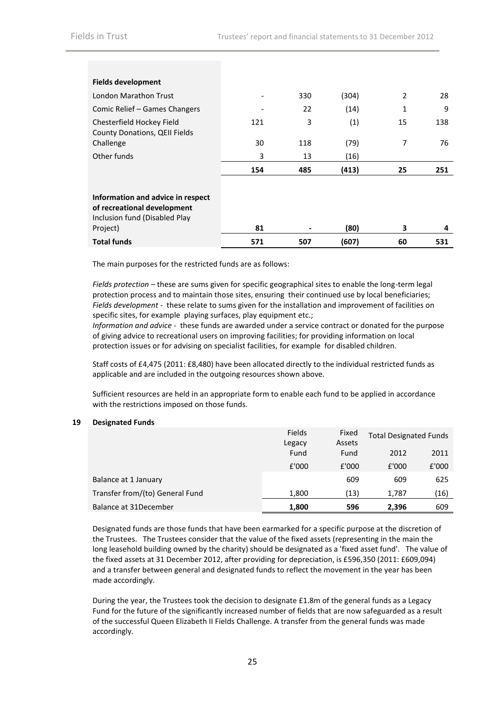| <b>Fields development</b>                                                                         |                          |     |       |    |     |
|---------------------------------------------------------------------------------------------------|--------------------------|-----|-------|----|-----|
| London Marathon Trust                                                                             | $\overline{\phantom{a}}$ | 330 | (304) | 2  | 28  |
| Comic Relief – Games Changers                                                                     |                          | 22  | (14)  | 1  | 9   |
| Chesterfield Hockey Field<br>County Donations, QEII Fields                                        | 121                      | 3   | (1)   | 15 | 138 |
| Challenge                                                                                         | 30                       | 118 | (79)  | 7  | 76  |
| Other funds                                                                                       | 3                        | 13  | (16)  |    |     |
|                                                                                                   | 154                      | 485 | (413) | 25 | 251 |
|                                                                                                   |                          |     |       |    |     |
| Information and advice in respect<br>of recreational development<br>Inclusion fund (Disabled Play |                          |     |       |    |     |
| Project)                                                                                          | 81                       |     | (80)  | 3  | 4   |
| <b>Total funds</b>                                                                                | 571                      | 507 | (607) | 60 | 531 |

The main purposes for the restricted funds are as follows:

*Fields protection* – these are sums given for specific geographical sites to enable the long-term legal protection process and to maintain those sites, ensuring their continued use by local beneficiaries; *Fields development* - these relate to sums given for the installation and improvement of facilities on specific sites, for example playing surfaces, play equipment etc.;

*Information and advice* - these funds are awarded under a service contract or donated for the purpose of giving advice to recreational users on improving facilities; for providing information on local protection issues or for advising on specialist facilities, for example for disabled children.

Staff costs of £4,475 (2011: £8,480) have been allocated directly to the individual restricted funds as applicable and are included in the outgoing resources shown above.

Sufficient resources are held in an appropriate form to enable each fund to be applied in accordance with the restrictions imposed on those funds.

### **19 Designated Funds**

|                                 | Fields | Fixed  | <b>Total Designated Funds</b> |       |
|---------------------------------|--------|--------|-------------------------------|-------|
|                                 | Legacy | Assets |                               |       |
|                                 | Fund   | Fund   | 2012                          | 2011  |
|                                 | £'000  | £'000  | £'000                         | £'000 |
| Balance at 1 January            |        | 609    | 609                           | 625   |
| Transfer from/(to) General Fund | 1,800  | (13)   | 1,787                         | (16)  |
| Balance at 31December           | 1.800  | 596    | 2.396                         | 609   |

Designated funds are those funds that have been earmarked for a specific purpose at the discretion of the Trustees. The Trustees consider that the value of the fixed assets (representing in the main the long leasehold building owned by the charity) should be designated as a 'fixed asset fund'. The value of the fixed assets at 31 December 2012, after providing for depreciation, is £596,350 (2011: £609,094) and a transfer between general and designated funds to reflect the movement in the year has been made accordingly.

During the year, the Trustees took the decision to designate £1.8m of the general funds as a Legacy Fund for the future of the significantly increased number of fields that are now safeguarded as a result of the successful Queen Elizabeth II Fields Challenge. A transfer from the general funds was made accordingly.